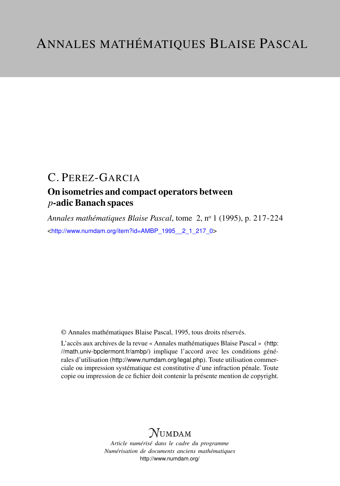# C. PEREZ-GARCIA

# On isometries and compact operators between *p*-adic Banach spaces

*Annales mathématiques Blaise Pascal*, tome 2, n<sup>o</sup> 1 (1995), p. 217-224 <[http://www.numdam.org/item?id=AMBP\\_1995\\_\\_2\\_1\\_217\\_0](http://www.numdam.org/item?id=AMBP_1995__2_1_217_0)>

© Annales mathématiques Blaise Pascal, 1995, tous droits réservés.

L'accès aux archives de la revue « Annales mathématiques Blaise Pascal » ([http:](http://math.univ-bpclermont.fr/ambp/) [//math.univ-bpclermont.fr/ambp/](http://math.univ-bpclermont.fr/ambp/)) implique l'accord avec les conditions générales d'utilisation (<http://www.numdam.org/legal.php>). Toute utilisation commerciale ou impression systématique est constitutive d'une infraction pénale. Toute copie ou impression de ce fichier doit contenir la présente mention de copyright.

# **NUMDAM**

*Article numérisé dans le cadre du programme Numérisation de documents anciens mathématiques* <http://www.numdam.org/>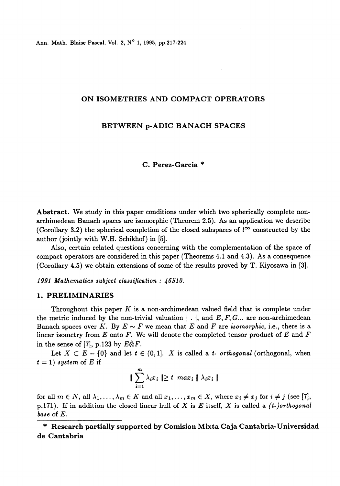#### ON ISOMETRIES AND COMPACT OPERATORS

## BETWEEN p-ADIC BANACH SPACES

### C. Perez-Garcia \*

Abstract. We study in this paper conditions under which two spherically complete nonarchimedean Banach spaces are isomorphic (Theorem 2.5). As an application we describe (Corollary 3.2) the spherical completion of the closed subspaces of  $l^{\infty}$  constructed by the author (jointly with W.H. Schikhof) in (5J.

Also, certain related questions concerning with the complementation of the space of compact operators are considered in this paper (Theorems 4.1 and 4.3). As a consequence (Corollary 4.5) we obtain extensions of some of the results proved by T. Kiyosawa in  $[3]$ .

1991 Mathematics subject classification : 46510.

#### 1. PRELIMINARIES

Throughout this paper  $K$  is a non-archimedean valued field that is complete under the metric induced by the non-trivial valuation  $\vert \cdot \vert$ , and E, F, G... are non-archimedean Banach spaces over K. By  $E \sim F$  we mean that E and F are *isomorphic*, i.e., there is a linear isometry from  $E$  onto  $F$ . We will denote the completed tensor product of  $E$  and  $F$ in the sense of [7], p.123 by  $E\hat{\otimes}F$ .

Let  $X \subset E - \{0\}$  and let  $t \in (0,1]$ . X is called a t- orthogonal (orthogonal, when  $t = 1$ ) system of E if

$$
\|\sum_{i=1}^m \lambda_i x_i\| \geq t \ \ max_i \|\lambda_i x_i\|
$$

for all  $m \in N$ , all  $\lambda_1, \ldots, \lambda_m \in K$  and all  $x_1, \ldots, x_m \in X$ , where  $x_i \neq x_j$  for  $i \neq j$  (see [7], p.171). If in addition the closed linear hull of X is E itself, X is called a  $(t$ -)orthogonal base of E.

\* Research partially supported by Comision Mixta Caja Cantabria-Universidad de Cantabria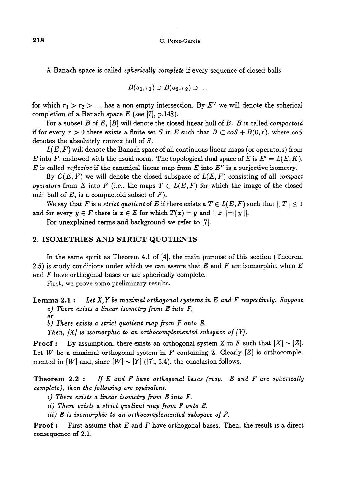A Banach space is called spherically complete if every sequence of closed balls

$$
B(a_1,r_1) \supset B(a_2,r_2) \supset \ldots
$$

for which  $r_1 > r_2 > ...$  has a non-empty intersection. By  $E^{\vee}$  we will denote the spherical completion of a Banach space  $E$  (see [7], p.148).

For a subset B of E,  $[B]$  will denote the closed linear hull of B. B is called *compactoid* if for every  $r > 0$  there exists a finite set S in E such that  $B \subset \cos + B(0, r)$ , where  $\cos$ denotes the absolutely convex hull of S.

 $L(E, F)$  will denote the Banach space of all continuous linear maps (or operators) from E into F, endowed with the usual norm. The topological dual space of E is  $E' = L(E, K)$ . E is called reflexive if the canonical linear map from  $E$  into  $E''$  is a surjective isometry.

By  $C(E, F)$  we will denote the closed subspace of  $L(E, F)$  consisting of all *compact* operators from E into F (i.e., the maps  $T \in L(E, F)$  for which the image of the closed unit ball of  $E$ , is a compactoid subset of  $F$ ).

We say that F is a strict quotient of E if there exists a  $T \in L(E, F)$  such that  $||T|| \leq 1$ and for every  $y \in F$  there is  $x \in E$  for which  $T(x) = y$  and  $||x|| = ||y||$ .

For unexplained terms and background we refer to [7].

#### 2. ISOMETRIES AND STRICT QUOTIENTS

In the same spirit as Theorem 4.I of [4], the main purpose of this section (Theorem 2.5) is study conditions under which we can assure that E and F are isomorphic, when E and F have orthogonal bases or are spherically complete.

First, we prove some preliminary results.

**Lemma 2.1:** Let  $X, Y$  be maximal orthogonal systems in  $E$  and  $F$  respectively. Suppose  $a)$  There exists a linear isometry from  $E$  into  $F$ ,

or

b) There exists a strict quotient map from F onto E.

Then,  $|X|$  is isomorphic to an orthocomplemented subspace of  $|Y|$ .

**Proof :** By assumption, there exists an orthogonal system Z in F such that  $[X] \sim [Z]$ . Let W be a maximal orthogonal system in F containing Z. Clearly  $[Z]$  is orthocomplemented in [W] and, since  $[W] \sim [Y]$  ([7], 5.4), the conclusion follows.

**Theorem 2.2 :** If E and F have orthogonal bases (resp. E and F are spherically complete), then the following are equivalent.

i) There exists a linear isometry from E into F.

ii) There exists a strict quotient map from F onto E.

iii)  $E$  is isomorphic to an orthocomplemented subspace of  $F$ .

**Proof:** First assume that E and F have orthogonal bases. Then, the result is a direct consequence of 2.1.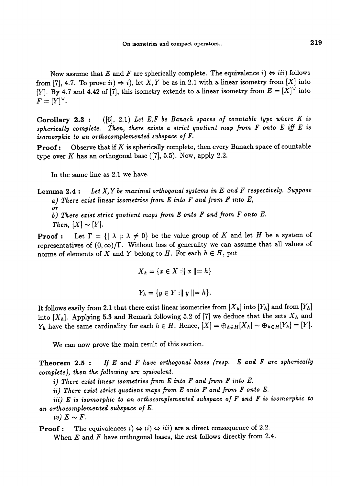Now assume that E and F are spherically complete. The equivalence  $i \rightarrow iii$  follows from [7], 4.7. To prove  $ii) \Rightarrow i$ , let X, Y be as in 2.1 with a linear isometry from [X] into [Y]. By 4.7 and 4.42 of [7], this isometry extends to a linear isometry from  $E = [X]^\vee$  into  $F = [Y]^\vee$ .

Corollary 2.3 :  $([6], 2.1)$  Let E,F be Banach spaces of countable type where K is spherically complete. Then, there exists a strict quotient map from  $F$  onto  $E$  iff  $E$  is isomorphic to an orthocomplemented subspace of F.

**Proof:** Observe that if  $K$  is spherically complete, then every Banach space of countable type over K has an orthogonal base  $([7], 5.5)$ . Now, apply 2.2.

In the same line as 2.1 we have.

**Lemma 2.4:** Let  $X, Y$  be maximal orthogonal systems in  $E$  and  $F$  respectively. Suppose a) There exist linear isometries from E into F and from F into E,

or b) There exist strict quotient maps from E onto F and from F onto E.

Then,  $[X] \sim [Y]$ .

**Proof :** Let  $\Gamma = \{ |\lambda| : \lambda \neq 0 \}$  be the value group of K and let H be a system of representatives of  $(0, \infty)/\Gamma$ . Without loss of generality we can assume that all values of norms of elements of X and Y belong to H. For each  $h \in H$ , put

$$
X_h = \{x \in X : ||x|| = h\}
$$

$$
Y_h = \{y \in Y : ||y|| = h\}.
$$

It follows easily from 2.1 that there exist linear isometries from  $[X_h]$  into  $[Y_h]$  and from  $[Y_h]$ into  $[X_h]$ . Applying 5.3 and Remark following 5.2 of [7] we deduce that the sets  $X_h$  and  $Y_h$  have the same cardinality for each  $h \in H$ . Hence,  $[X] = \bigoplus_{h \in H} [X_h] \sim \bigoplus_{h \in H} [Y_h] = [Y].$ 

We can now prove the main result of this section.

**Theorem 2.5 :** If E and F have orthogonal bases (resp. E and F are spherically complete ), then the following are equivalent.

i) There exist linear isometries from E into F and from F into E.

ii) There exist strict quotient maps from  $E$  onto  $F$  and from  $F$  onto  $E$ .

iii) E is isomorphic to an orthocomplemented subspace of F and F is isomorphic to an orthocomplemented subspace of E.

iv)  $E \sim F$ .

**Proof :** The equivalences  $i) \Leftrightarrow ii) \Leftrightarrow iii)$  are a direct consequence of 2.2. When  $E$  and  $F$  have orthogonal bases, the rest follows directly from 2.4.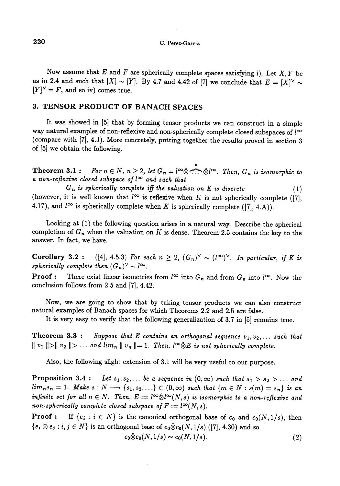Now assume that E and F are spherically complete spaces satisfying i). Let  $X, Y$  be as in 2.4 and such that  $[X] \sim [Y]$ . By 4.7 and 4.42 of [7] we conclude that  $E = [X]^\vee \sim$  $[Y]^\vee = F$ , and so iv) comes true.

#### 3. TENSOR PRODUCT OF BANACH SPACES

It was showed in [5] that by forming tensor products we can construct in a simple way natural examples of non-reflexive and non-spherically complete closed subspaces of  $l^{\infty}$ (compare with [7], 4.J). More concretely, putting together the results proved in section 3 of [5] we obtain the following.

Theorem 3.1: For  $n \in N$ ,  $n \geq 2$ , let  $G_n = l^{\infty} \hat{\otimes} \stackrel{n}{\cdots} \hat{\otimes} l^{\infty}$ . Then,  $G_n$  is isomorphic to a non-reflexive closed subspace of  $l^{\infty}$  and such that

 $G_n$  is spherically complete iff the valuation on K is discrete  $(1)$ (however, it is well known that  $l^{\infty}$  is reflexive when K is not spherically complete ([7], 4.17), and  $l^{\infty}$  is spherically complete when K is spherically complete ([7], 4.A)).

Looking at (1) the following question arises in a natural way. Describe the spherical completion of  $G_n$  when the valuation on K is dense. Theorem 2.5 contains the key to the answer. In fact, we have.

Corollary 3.2 : ([4], 4.5.3) For each  $n \geq 2$ ,  $(G_n)^{\vee} \sim (l^{\infty})^{\vee}$ . In particular, if K is spherically complete then  $(G_n)^{\vee} \sim l^{\infty}$ .

**Proof :** There exist linear isometries from  $l^{\infty}$  into  $G_n$  and from  $G_n$  into  $l^{\infty}$ . Now the conclusion follows from 2.5 and [7], 4.42.

Now, we are going to show that by taking tensor products we can also construct natural examples of Banach spaces for which Theorems 2.2 and 2.5 are false.

It is very easy to verify that the following generalization of 3.7 in [5] remains true.

**Theorem 3.3 :** Suppose that E contains an orthogonal sequence  $v_1, v_2, \ldots$  such that  $|| v_1 || > || v_2 || > ...$  and  $lim_n || v_n || = 1$ . Then,  $\int_{-\infty}^{\infty} E$  is not spherically complete.

Also, the following slight extension of 3.I will be very useful to our purpose.

**Proposition 3.4 :** Let  $s_1, s_2, \ldots$  be a sequence in  $(0, \infty)$  such that  $s_1 > s_2 > \ldots$  and  $\lim_{n} s_n = 1$ . Make  $s : N \longrightarrow \{s_1, s_2, \ldots\} \subset (0, \infty)$  such that  $\{m \in N : s(m) = s_n\}$  is an infinite set for all  $n \in N$ . Then,  $E := l^{\infty} \hat{\otimes} l^{\infty}(N, s)$  is isomorphic to a non-reflexive and non-spherically complete closed subspace of  $F := l^{\infty}(N, s)$ .

**Proof :** If  $\{e_i : i \in N\}$  is the canonical orthogonal base of  $c_0$  and  $c_0(N,1/s)$ , then  ${e_i \otimes e_j : i, j \in N}$  is an orthogonal base of  $c_0 \hat{\otimes} c_0(N, 1/s)$  ([7], 4.30) and so

$$
c_0\ddot{\otimes}c_0(N,1/s)\sim c_0(N,1/s). \tag{2}
$$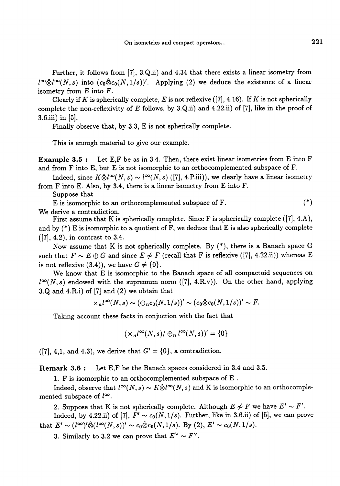Further, it follows from [7], 3.Q.ii) and 4.34 that there exists a linear isometry from  $i^{\infty} \hat{\otimes} i^{\infty}(N,s)$  into  $(c_0 \hat{\otimes} c_0(N,1/s))'$ . Applying (2) we deduce the existence of a linear isometry from  $E$  into  $F$ .

Clearly if K is spherically complete, E is not reflexive  $([7], 4.16)$ . If K is not spherically complete the non-reflexivity of  $E$  follows, by 3.Q.ii) and 4.22.ii) of [7], like in the proof of 3.6.iii) in [5].

Finally observe that, by 3.3, E is not spherically complete.

This is enough material to give our example.

Example 3.5 : Let E,F be as in 3.4. Then, there exist linear isometries from E into F and from F into E, but E is not isomorphic to an orthocomplemented subspace of F.

Indeed, since  $K\hat{\otimes} l^{\infty}(N,s) \sim l^{\infty}(N,s)$  ([7], 4.P.iii)), we clearly have a linear isometry from F into E. Also, by 3.4, there is a linear isometry from E into F.

Suppose that

E is isomorphic to an orthocomplemented subspace of F. (\*) We derive a contradiction.

First assume that K is spherically complete. Since F is spherically complete ([7], 4.A), and by  $(*)$  E is isomorphic to a quotient of F, we deduce that E is also spherically complete ([7], 4.2), in contrast to 3.4.

Now assume that K is not spherically complete. By (\*), there is a Banach space G such that  $F \sim E \oplus G$  and since  $E \not\sim F$  (recall that F is reflexive ([7], 4.22.ii)) whereas E is not reflexive (3.4)), we have  $G \neq \{0\}$ .

We know that E is isomorphic to the Banach space of all compactoid sequences on  $l^{\infty}(N, s)$  endowed with the supremum norm ([7], 4.R.v)). On the other hand, applying 3.Q and 4.R.I) of [7] and (2) we obtain that

$$
\times_n l^{\infty}(N,s) \sim (\oplus_n c_0(N,1/s))' \sim (c_0 \hat{\otimes} c_0(N,1/s))' \sim F.
$$

Taking account these facts in conjuction with the fact that

 $(\times_n l^{\infty}(N,s) / \bigoplus_n l^{\infty}(N,s))' = \{0\}$ 

 $([7], 4,1, \text{ and } 4.3)$ , we derive that  $G' = \{0\}$ , a contradiction.

Remark 3.6 : Let E,F be the Banach spaces considered in 3.4 and 3.5.

1. F is isomorphic to an orthocomplemented subspace of E .

Indeed, observe that  $l^{\infty}(N, s) \sim K \hat{\otimes} l^{\infty}(N, s)$  and K is isomorphic to an orthocomplemented subspace of  $l^{\infty}$ .

2. Suppose that K is not spherically complete. Although  $E \not\sim F$  we have  $E' \sim F'$ .

Indeed, by 4.22.ii) of [7],  $F' \sim c_0(N, 1/s)$ . Further, like in 3.6.ii) of [5], we can prove that  $E' \sim (l^{\infty})' \hat{\otimes} (l^{\infty}(N, s))' \sim c_0 \hat{\otimes} c_0(N, 1/s)$ . By (2),  $E' \sim c_0(N, 1/s)$ .

3. Similarly to 3.2 we can prove that  $E^{\vee} \sim F^{\vee}$ .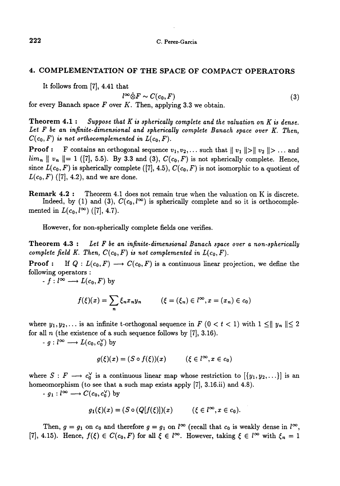### 4. COMPLEMENTATION OF THE SPACE OF COMPACT OPERATORS

It follows from [7], 4.41 that

$$
\stackrel{\text{(a)}}{\otimes} \stackrel{\text{(b)}}{F} \sim C(c_0, F) \tag{3}
$$

for every Banach space  $F$  over  $K$ . Then, applying 3.3 we obtain.

**Theorem 4.1:** Suppose that K is spherically complete and the valuation on K is dense. Let F be an infinite-dimensional and spherically complete Banach space over K. Then,  $C(c_0, F)$  is not orthocomplemented in  $L(c_0, F)$ .

**Proof :** F contains an orthogonal sequence  $v_1, v_2, \ldots$  such that  $||v_1|| > ||v_2|| > \ldots$  and  $\lim_{n} ||v_n|| = 1$  ([7], 5.5). By 3.3 and (3),  $C(c_0, F)$  is not spherically complete. Hence, since  $L(c_0, F)$  is spherically complete ([7], 4.5),  $C(c_0, F)$  is not isomorphic to a quotient of  $L(c_0, F)$  ([7], 4.2), and we are done.

Remark 4.2 : Theorem 4.1 does not remain true when the valuation on K is discrete. Indeed, by (1) and (3),  $C(c_0, l^{\infty})$  is spherically complete and so it is orthocomplemented in  $L(c_0, l^{\infty})$  ([7], 4.7).

However, for non-spherically complete fields one verifies.

**Theorem 4.3 :** Let F be an infinite-dimensional Banach space over a non-spherically complete field K. Then,  $C(c_0, F)$  is not complemented in  $L(c_0, F)$ .

**Proof :** If  $Q: L(c_0, F) \longrightarrow C(c_0, F)$  is a continuous linear projection, we define the following operators :

 $-f: l^{\infty} \longrightarrow L(c_0, F)$  by

$$
f(\xi)(x) = \sum_{n} \xi_n x_n y_n \qquad (\xi = (\xi_n) \in l^{\infty}, x = (x_n) \in c_0)
$$

where  $y_1, y_2, \ldots$  is an infinite t-orthogonal sequence in  $F$  ( $0 < t < 1$ ) with  $1 \leq ||y_n|| \leq 2$ for all  $n$  (the existence of a such sequence follows by  $(7)$ , 3.16).

 $\begin{align*} \text{all } n \text{ (the existence of a s)}\ \text{- } g: l^{\infty} &\longrightarrow L(c_0, c_0^{\vee}) \text{ by} \end{align*}$ 

$$
g(\xi)(x) = (S \circ f(\xi))(x) \qquad (\xi \in l^{\infty}, x \in c_0)
$$

where  $S : F \longrightarrow c_0^{\vee}$  is a continuous linear map whose restriction to  $[\{y_1, y_2, ...\}]$  is an homeomorphism (to see that a such map exists apply [7], 3.16.ii) and 4.8).

 $-g_1: l^{\infty} \longrightarrow C(c_0, c_0^{\vee})$  by

$$
g_1(\xi)(x) = (S \circ (Q[f(\xi)])(x) \qquad (\xi \in l^{\infty}, x \in c_0).
$$

Then,  $g = g_1$  on  $c_0$  and therefore  $g = g_1$  on  $l^{\infty}$  (recall that  $c_0$  is weakly dense in  $l^{\infty}$ , [7], 4.15). Hence,  $f(\xi) \in C(c_0, F)$  for all  $\xi \in l^{\infty}$ . However, taking  $\xi \in l^{\infty}$  with  $\xi_n = 1$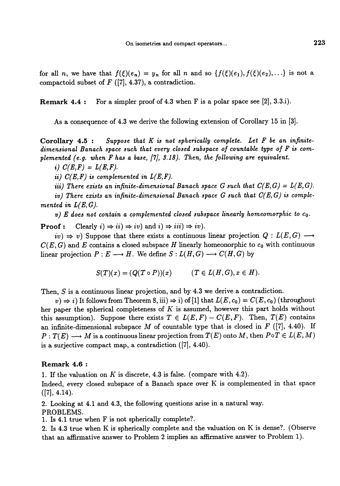for all n, we have that  $f(\xi)(e_n) = y_n$  for all n and so  $\{f(\xi)(e_1), f(\xi)(e_2), ...\}$  is not a compactoid subset of  $F$  ([7], 4.37), a contradiction.

**Remark 4.4 :** For a simpler proof of 4.3 when F is a polar space see [2], 3.3.i).

As a consequence of 4.3 we derive the following extension of Corollary 15 in [3].

Corollary  $4.5:$  Suppose that  $K$  is not spherically complete. Let  $F$  be an infinitedimensional Banach space such that every closed subspace of countable type of F is complemented (e.g. when F has a base, [7], 3.18). Then, the following are equivalent.

i)  $C(E, F) = L(E, F)$ .

ii)  $C(E,F)$  is complemented in  $L(E,F)$ .

iii) There exists an infinite-dimensional Banach space G such that  $C(E, G) = L(E, G)$ .

iv) There exists an infinite-dimensional Banach space  $G$  such that  $C(E, G)$  is complemented in  $L(E, G)$ .

v) E does not contain a complemented closed subspace linearly homeomorphic to  $c_0$ .

**Proof :** Clearly  $i) \Rightarrow ii) \Rightarrow iv$  and  $i) \Rightarrow iii) \Rightarrow iv$ .

 $iv) \Rightarrow v$ ) Suppose that there exists a continuous linear projection  $Q: L(E, G) \longrightarrow$  $C(E, G)$  and E contains a closed subspace H linearly homeonorphic to  $c_0$  with continuous linear projection  $P: E \longrightarrow H$ . We define  $S: L(H, G) \longrightarrow C(H, G)$  by

$$
S(T)(x) = (Q(T \circ P))(x) \qquad (T \in L(H, G), x \in H).
$$

Then, S is a continuous linear projection, and by 4.3 we derive a contradiction.

 $(v) \Rightarrow i$ ) It follows from Theorem 8, iii)  $\Rightarrow$  i) of [1] that  $L(E, c_0) = C(E, c_0)$  (throughout her paper the spherical completeness of  $K$  is assumed, however this part holds without this assumption). Suppose there exists  $T \in L(E, F) - C(E, F)$ . Then,  $T(E)$  contains an infinite-dimensional subspace M of countable type that is closed in  $F$  ([7], 4.40). If  $P: T(E) \longrightarrow M$  is a continuous linear projection from  $T(E)$  onto M, then  $P \circ T \in L(E, M)$ is a surjective compact map, a contradiction ([7], 4.40).

#### Remark 4.6 :

1. If the valuation on  $K$  is discrete, 4.3 is false. (compare with 4.2).

Indeed, every closed subspace of a Banach space over K is complemented in that space  $([7], 4.14).$ 

2. Looking at 4.1 and 4.3, the following questions arise in a natural way. PROBLEMS.

1. Is 4.1 true when F is not spherically complete?.

2. Is 4.3 true when K is spherically complete and the valuation on K is dense?. (Observe that an affirmative answer to Problem 2 implies an affirmative answer to Problem 1).